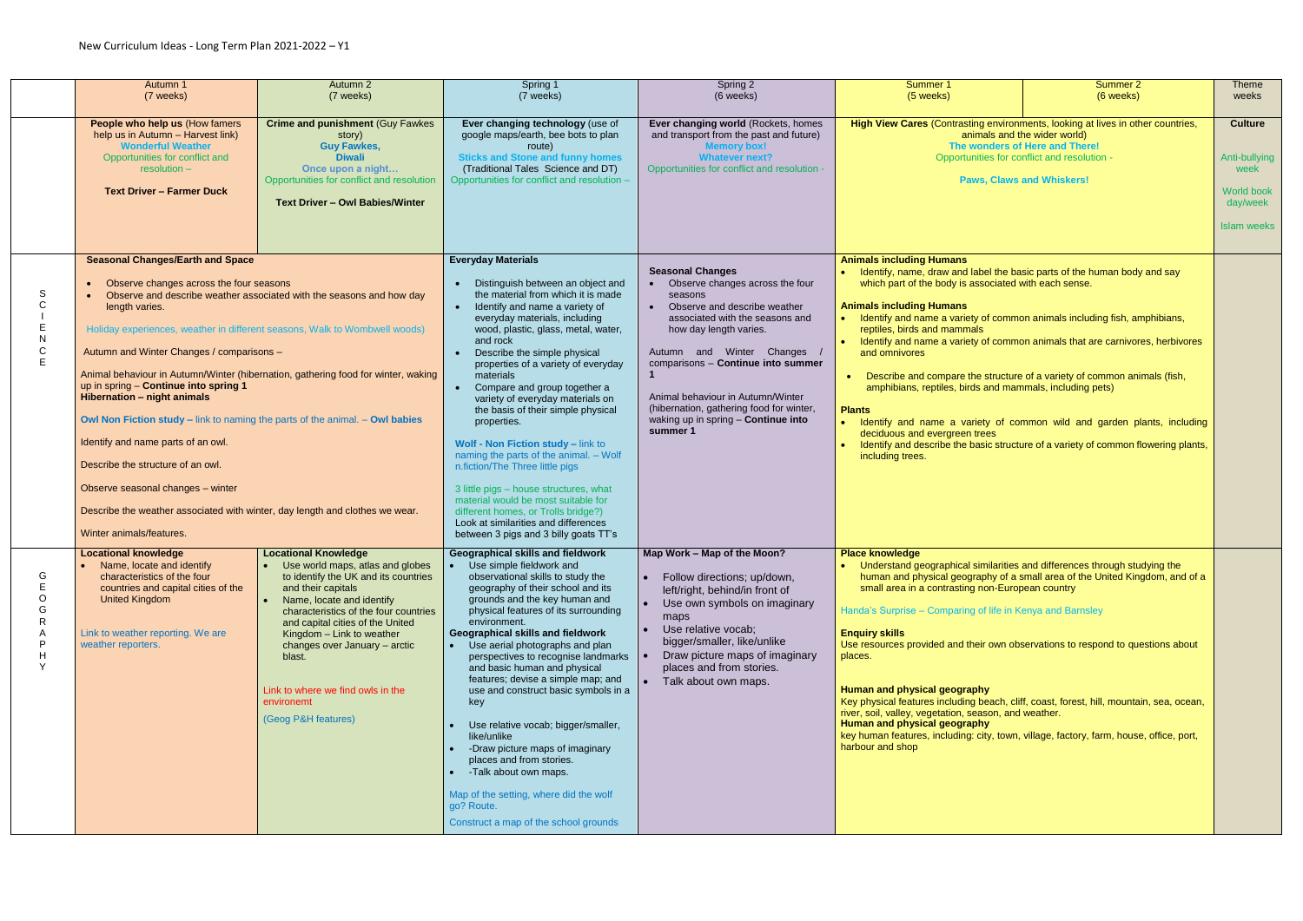|                                  | Autumn 1<br>(7 weeks)                                                                                                                                                                                                                                                                                                                                                                                                                                                                                                                                                                                                             | Autumn 2<br>(7 weeks)                                                                                                                                                                                                                                                                                                                                                                       | Spring 1<br>(7 weeks)                                                                                                                                                                                                                                                                                                                                                                                                                                                                                                                                                                                                                                                                                                                                               | Spring 2<br>(6 weeks)                                                                                                                                                                                                                                                                                                                                                     | Summer 1<br>(5 weeks)                                                                                                                                                                                                                                                                                                                                                                                                                                                                                                                                                                                                                                                                                                                                                                                | Summer 2<br>(6 weeks) | <b>Theme</b><br>weeks                                                                   |
|----------------------------------|-----------------------------------------------------------------------------------------------------------------------------------------------------------------------------------------------------------------------------------------------------------------------------------------------------------------------------------------------------------------------------------------------------------------------------------------------------------------------------------------------------------------------------------------------------------------------------------------------------------------------------------|---------------------------------------------------------------------------------------------------------------------------------------------------------------------------------------------------------------------------------------------------------------------------------------------------------------------------------------------------------------------------------------------|---------------------------------------------------------------------------------------------------------------------------------------------------------------------------------------------------------------------------------------------------------------------------------------------------------------------------------------------------------------------------------------------------------------------------------------------------------------------------------------------------------------------------------------------------------------------------------------------------------------------------------------------------------------------------------------------------------------------------------------------------------------------|---------------------------------------------------------------------------------------------------------------------------------------------------------------------------------------------------------------------------------------------------------------------------------------------------------------------------------------------------------------------------|------------------------------------------------------------------------------------------------------------------------------------------------------------------------------------------------------------------------------------------------------------------------------------------------------------------------------------------------------------------------------------------------------------------------------------------------------------------------------------------------------------------------------------------------------------------------------------------------------------------------------------------------------------------------------------------------------------------------------------------------------------------------------------------------------|-----------------------|-----------------------------------------------------------------------------------------|
|                                  | People who help us (How famers<br>help us in Autumn - Harvest link)<br><b>Wonderful Weather</b><br>Opportunities for conflict and<br>$resolution -$<br><b>Text Driver - Farmer Duck</b>                                                                                                                                                                                                                                                                                                                                                                                                                                           | <b>Crime and punishment (Guy Fawkes</b><br>story)<br><b>Guy Fawkes,</b><br><b>Diwali</b><br>Once upon a night<br>Opportunities for conflict and resolution<br><b>Text Driver - Owl Babies/Winter</b>                                                                                                                                                                                        | Ever changing technology (use of<br>google maps/earth, bee bots to plan<br>route)<br><b>Sticks and Stone and funny homes</b><br>(Traditional Tales Science and DT)<br>Opportunities for conflict and resolution -                                                                                                                                                                                                                                                                                                                                                                                                                                                                                                                                                   | Ever changing world (Rockets, homes<br>and transport from the past and future)<br><b>Memory box!</b><br><b>Whatever next?</b><br>Opportunities for conflict and resolution -                                                                                                                                                                                              | High View Cares (Contrasting environments, looking at lives in other countries,<br>animals and the wider world)<br>The wonders of Here and There!<br>Opportunities for conflict and resolution -<br><b>Paws, Claws and Whiskers!</b>                                                                                                                                                                                                                                                                                                                                                                                                                                                                                                                                                                 |                       | <b>Culture</b><br>Anti-bullying<br>week<br>World book<br>day/week<br><b>Islam weeks</b> |
| S<br>C<br>N<br>$\mathsf{C}$<br>E | <b>Seasonal Changes/Earth and Space</b><br>Observe changes across the four seasons<br>length varies.<br>Holiday experiences, weather in different seasons, Walk to Wombwell woods)<br>Autumn and Winter Changes / comparisons -<br>up in spring - Continue into spring 1<br><b>Hibernation - night animals</b><br><b>Owl Non Fiction study – link to naming the parts of the animal. – Owl babies</b><br>Identify and name parts of an owl.<br>Describe the structure of an owl.<br>Observe seasonal changes - winter<br>Describe the weather associated with winter, day length and clothes we wear.<br>Winter animals/features. | Observe and describe weather associated with the seasons and how day<br>Animal behaviour in Autumn/Winter (hibernation, gathering food for winter, waking                                                                                                                                                                                                                                   | <b>Everyday Materials</b><br>Distinguish between an object and<br>the material from which it is made<br>Identify and name a variety of<br>everyday materials, including<br>wood, plastic, glass, metal, water,<br>and rock<br>Describe the simple physical<br>properties of a variety of everyday<br>materials<br>Compare and group together a<br>variety of everyday materials on<br>the basis of their simple physical<br>properties.<br>Wolf - Non Fiction study - link to<br>naming the parts of the animal. - Wolf<br>n.fiction/The Three little pigs<br>3 little pigs - house structures, what<br>material would be most suitable for<br>different homes, or Trolls bridge?)<br>Look at similarities and differences<br>between 3 pigs and 3 billy goats TT's | <b>Seasonal Changes</b><br>Observe changes across the four<br>seasons<br>Observe and describe weather<br>associated with the seasons and<br>how day length varies.<br>Autumn and Winter Changes<br>comparisons - Continue into summer<br>Animal behaviour in Autumn/Winter<br>(hibernation, gathering food for winter,<br>waking up in spring - Continue into<br>summer 1 | <b>Animals including Humans</b><br>Identify, name, draw and label the basic parts of the human body and say<br>which part of the body is associated with each sense.<br><b>Animals including Humans</b><br>Identify and name a variety of common animals including fish, amphibians,<br>reptiles, birds and mammals<br>Identify and name a variety of common animals that are carnivores, herbivores<br>and omnivores<br>Describe and compare the structure of a variety of common animals (fish,<br>amphibians, reptiles, birds and mammals, including pets)<br><b>Plants</b><br>Identify and name a variety of common wild and garden plants, including<br>deciduous and evergreen trees<br>Identify and describe the basic structure of a variety of common flowering plants,<br>including trees. |                       |                                                                                         |
| G<br>O<br>$\vee$                 | <b>Locational knowledge</b><br>Name, locate and identify<br>characteristics of the four<br>countries and capital cities of the<br>United Kingdom<br>Link to weather reporting. We are<br>weather reporters.                                                                                                                                                                                                                                                                                                                                                                                                                       | <b>Locational Knowledge</b><br>• Use world maps, atlas and globes<br>to identify the UK and its countries<br>and their capitals<br>Name, locate and identify<br>characteristics of the four countries<br>and capital cities of the United<br>Kingdom - Link to weather<br>changes over January - arctic<br>blast.<br>Link to where we find owls in the<br>environemt<br>(Geog P&H features) | <b>Geographical skills and fieldwork</b><br>• Use simple fieldwork and<br>observational skills to study the<br>geography of their school and its<br>grounds and the key human and<br>physical features of its surrounding<br>environment.<br><b>Geographical skills and fieldwork</b><br>Use aerial photographs and plan<br>perspectives to recognise landmarks  <br>and basic human and physical<br>features; devise a simple map; and<br>use and construct basic symbols in a<br>key<br>Use relative vocab; bigger/smaller,<br>like/unlike<br>-Draw picture maps of imaginary<br>places and from stories.<br>-Talk about own maps.<br>Map of the setting, where did the wolf<br>go? Route.<br>Construct a map of the school grounds                               | Map Work - Map of the Moon?<br>Follow directions; up/down,<br>left/right, behind/in front of<br>Use own symbols on imaginary<br>maps<br>Use relative vocab;<br>bigger/smaller, like/unlike<br>Draw picture maps of imaginary<br>places and from stories.<br>Talk about own maps.                                                                                          | <b>Place knowledge</b><br>Understand geographical similarities and differences through studying the<br>human and physical geography of a small area of the United Kingdom, and of a<br>small area in a contrasting non-European country<br>Handa's Surprise - Comparing of life in Kenya and Barnsley<br><b>Enquiry skills</b><br>Use resources provided and their own observations to respond to questions about<br>places.<br>Human and physical geography<br>Key physical features including beach, cliff, coast, forest, hill, mountain, sea, ocean,<br>river, soil, valley, vegetation, season, and weather.<br>Human and physical geography<br>key human features, including: city, town, village, factory, farm, house, office, port,<br>harbour and shop                                     |                       |                                                                                         |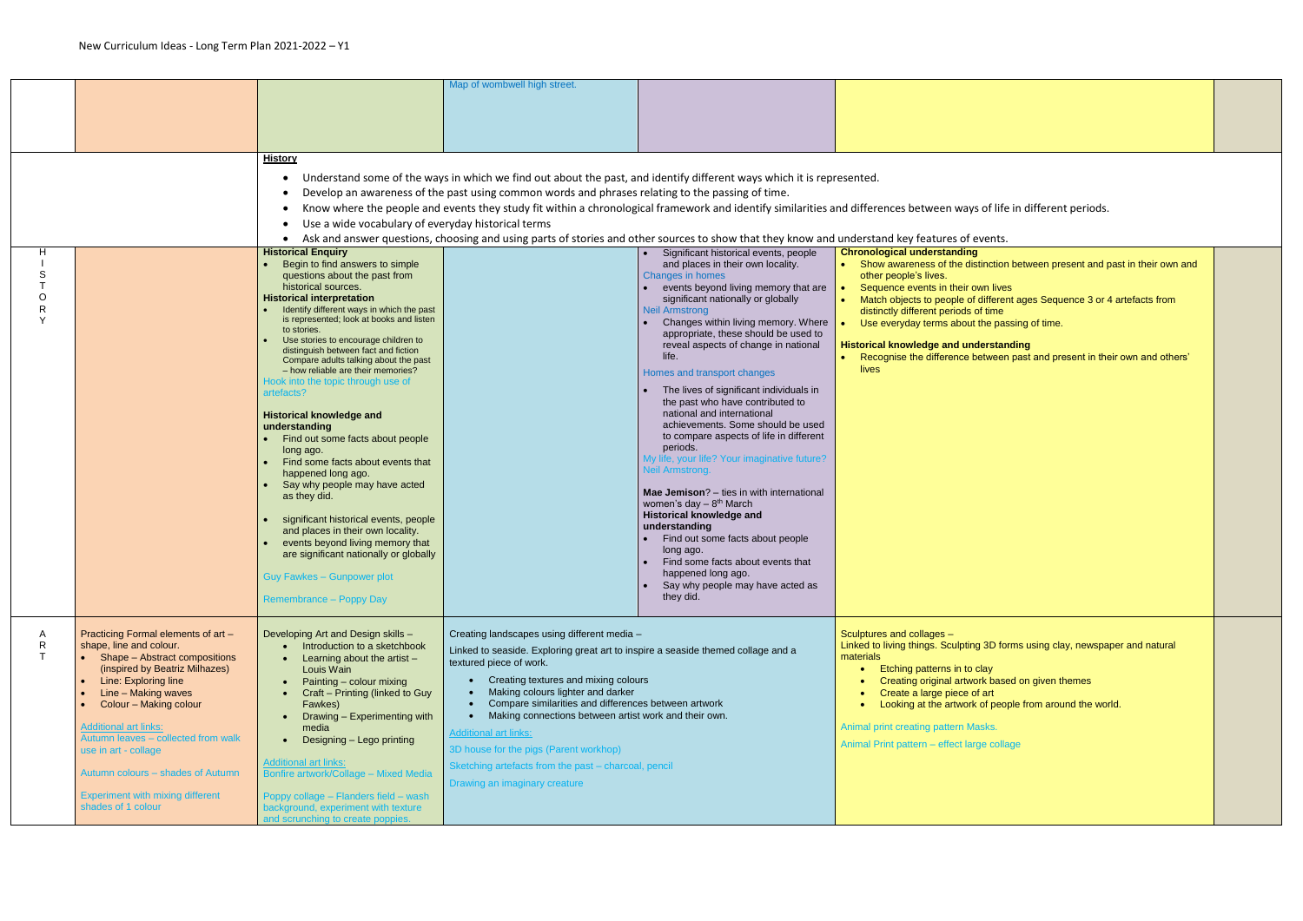|                                                                                                                                                                                                                                                                                                                                                                                                                                           |                                                                                                                                                                                                                                                                                                                                                                                                                                                                                                                                                                                                                                                                                                                                                                                                                                                                                                                                                                                           | Map of wombwell high street.                                                                                                                                            |                                                                                                                                                                                                                                                                                                                                                                                                                                                                                                                                                                                                                                                                                                                                                                                                                                                                                                                                                                 |                                                                                                                                                                                                                                                                                                                                                                                                                                                                                                                                                                                                                                                                                                                                                                                                                                                                                        |
|-------------------------------------------------------------------------------------------------------------------------------------------------------------------------------------------------------------------------------------------------------------------------------------------------------------------------------------------------------------------------------------------------------------------------------------------|-------------------------------------------------------------------------------------------------------------------------------------------------------------------------------------------------------------------------------------------------------------------------------------------------------------------------------------------------------------------------------------------------------------------------------------------------------------------------------------------------------------------------------------------------------------------------------------------------------------------------------------------------------------------------------------------------------------------------------------------------------------------------------------------------------------------------------------------------------------------------------------------------------------------------------------------------------------------------------------------|-------------------------------------------------------------------------------------------------------------------------------------------------------------------------|-----------------------------------------------------------------------------------------------------------------------------------------------------------------------------------------------------------------------------------------------------------------------------------------------------------------------------------------------------------------------------------------------------------------------------------------------------------------------------------------------------------------------------------------------------------------------------------------------------------------------------------------------------------------------------------------------------------------------------------------------------------------------------------------------------------------------------------------------------------------------------------------------------------------------------------------------------------------|----------------------------------------------------------------------------------------------------------------------------------------------------------------------------------------------------------------------------------------------------------------------------------------------------------------------------------------------------------------------------------------------------------------------------------------------------------------------------------------------------------------------------------------------------------------------------------------------------------------------------------------------------------------------------------------------------------------------------------------------------------------------------------------------------------------------------------------------------------------------------------------|
|                                                                                                                                                                                                                                                                                                                                                                                                                                           | <b>History</b><br>$\bullet$<br>$\bullet$<br>$\bullet$<br><b>Historical Enquiry</b><br>Begin to find answers to simple<br>questions about the past from<br>historical sources.<br><b>Historical interpretation</b><br>Identify different ways in which the past<br>is represented; look at books and listen<br>to stories.<br>Use stories to encourage children to<br>distinguish between fact and fiction<br>Compare adults talking about the past<br>- how reliable are their memories?<br>Hook into the topic through use of<br>artefacts?<br><b>Historical knowledge and</b><br>understanding<br>Find out some facts about people<br>long ago.<br>Find some facts about events that<br>happened long ago.<br>Say why people may have acted<br>as they did.<br>significant historical events, people<br>and places in their own locality.<br>events beyond living memory that<br>are significant nationally or globally<br><b>Guy Fawkes - Gunpower plot</b><br>Remembrance - Poppy Day |                                                                                                                                                                         | • Significant historical events, people<br>and places in their own locality.<br>Changes in homes<br>events beyond living memory that are<br>significant nationally or globally<br><b>Neil Armstrong</b><br>Changes within living memory. Where<br>appropriate, these should be used to<br>reveal aspects of change in national<br>life.<br>Homes and transport changes<br>The lives of significant individuals in<br>the past who have contributed to<br>national and international<br>achievements. Some should be used<br>to compare aspects of life in different<br>periods.<br>My life, your life? Your imaginative future?<br><b>Neil Armstrong.</b><br>Mae Jemison? - ties in with international<br>women's day $-8$ <sup>th</sup> March<br><b>Historical knowledge and</b><br>understanding<br>Find out some facts about people<br>long ago.<br>Find some facts about events that<br>happened long ago.<br>Say why people may have acted as<br>they did. | <b>Chronological understanding</b><br>Show awareness of the distinction bety<br>other people's lives.<br>Sequence events in their own lives<br>Match objects to people of different age<br>distinctly different periods of time<br>Use everyday terms about the passing<br><b>Historical knowledge and understanding</b><br>Recognise the difference between past<br>lives                                                                                                                                                                                                                                                                                                                                                                                                                                                                                                             |
| Practicing Formal elements of art -<br>shape, line and colour.<br>Shape - Abstract compositions<br>(inspired by Beatriz Milhazes)<br>Line: Exploring line<br>Line - Making waves<br>$\bullet$<br>Colour - Making colour<br>$\bullet$<br><b>Additional art links:</b><br>Autumn leaves - collected from walk<br>use in art - collage<br>Autumn colours - shades of Autumn<br><b>Experiment with mixing different</b><br>shades of 1 colour | Developing Art and Design skills -<br>Introduction to a sketchbook<br>Learning about the artist $-$<br>Louis Wain<br>Painting - colour mixing<br>Craft - Printing (linked to Guy<br>Fawkes)<br>Drawing - Experimenting with<br>media<br>Designing - Lego printing<br><b>Additional art links:</b><br>Bonfire artwork/Collage - Mixed Media<br>Poppy collage - Flanders field - wash<br>background, experiment with texture<br>and scrunching to create poppies.                                                                                                                                                                                                                                                                                                                                                                                                                                                                                                                           | textured piece of work.<br>Making colours lighter and darker<br><b>Additional art links:</b><br>3D house for the pigs (Parent workhop)<br>Drawing an imaginary creature |                                                                                                                                                                                                                                                                                                                                                                                                                                                                                                                                                                                                                                                                                                                                                                                                                                                                                                                                                                 | Sculptures and collages -<br>Linked to living things. Sculpting 3D forms u<br>materials<br>Etching patterns in to clay<br>$\bullet$<br>Creating original artwork based on<br>Create a large piece of art<br>$\bullet$<br>Looking at the artwork of people fr<br>Animal print creating pattern Masks.<br>Animal Print pattern - effect large collage                                                                                                                                                                                                                                                                                                                                                                                                                                                                                                                                    |
|                                                                                                                                                                                                                                                                                                                                                                                                                                           |                                                                                                                                                                                                                                                                                                                                                                                                                                                                                                                                                                                                                                                                                                                                                                                                                                                                                                                                                                                           |                                                                                                                                                                         | Use a wide vocabulary of everyday historical terms                                                                                                                                                                                                                                                                                                                                                                                                                                                                                                                                                                                                                                                                                                                                                                                                                                                                                                              | Understand some of the ways in which we find out about the past, and identify different ways which it is represented.<br>Develop an awareness of the past using common words and phrases relating to the passing of time.<br>Know where the people and events they study fit within a chronological framework and identify similarities and differences between ways of life in d<br>Ask and answer questions, choosing and using parts of stories and other sources to show that they know and understand key features of events.<br>Creating landscapes using different media -<br>Linked to seaside. Exploring great art to inspire a seaside themed collage and a<br>Creating textures and mixing colours<br>Compare similarities and differences between artwork<br>Making connections between artist work and their own.<br>Sketching artefacts from the past - charcoal, pencil |

## of life in different periods. ction between present and past in their own and I lives ferent ages Sequence 3 or 4 artefacts from ime e passing of time. Recognise the difference between past and present in their own and others' D forms using clay, newspaper and natural based on given themes people from around the world. collage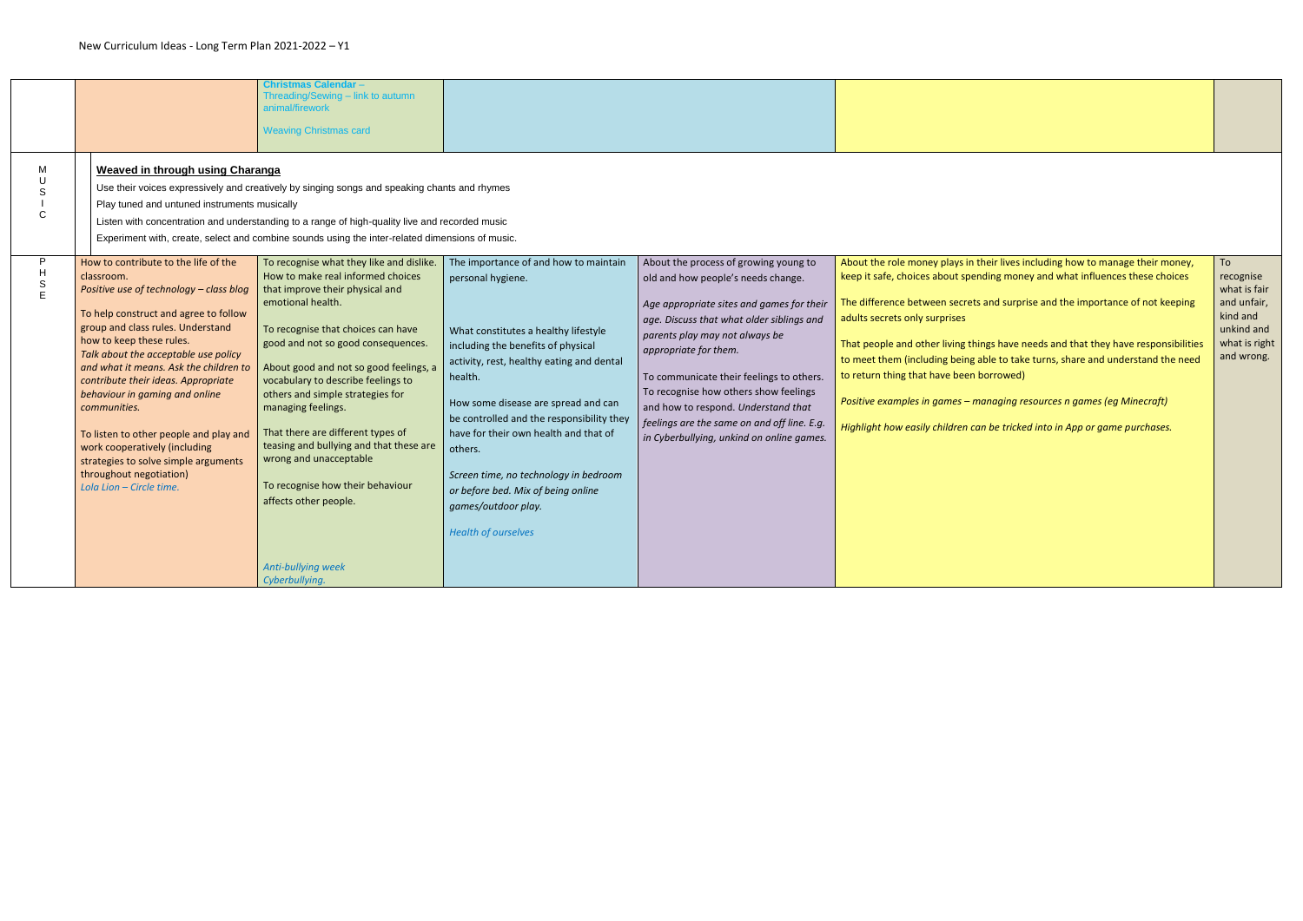|                                                |                                                                                                                                                                                                                                                                                                                                                                                                                                                                                                                      | <b>Christmas Calendar -</b><br>Threading/Sewing - link to autumn<br>animal/firework<br><b>Weaving Christmas card</b>                                                                                                                                                                                                                                                                                                                                                                                                           |                                                                                                                                                                                                                                                                                                                                                                                                                                     |                                                                                                                                                                                                                                                                                                                                                                                                                 |                                                                                                                                                                                                                                                                                                                                                                                                                                                                                                                                                                              |                                                                                                   |
|------------------------------------------------|----------------------------------------------------------------------------------------------------------------------------------------------------------------------------------------------------------------------------------------------------------------------------------------------------------------------------------------------------------------------------------------------------------------------------------------------------------------------------------------------------------------------|--------------------------------------------------------------------------------------------------------------------------------------------------------------------------------------------------------------------------------------------------------------------------------------------------------------------------------------------------------------------------------------------------------------------------------------------------------------------------------------------------------------------------------|-------------------------------------------------------------------------------------------------------------------------------------------------------------------------------------------------------------------------------------------------------------------------------------------------------------------------------------------------------------------------------------------------------------------------------------|-----------------------------------------------------------------------------------------------------------------------------------------------------------------------------------------------------------------------------------------------------------------------------------------------------------------------------------------------------------------------------------------------------------------|------------------------------------------------------------------------------------------------------------------------------------------------------------------------------------------------------------------------------------------------------------------------------------------------------------------------------------------------------------------------------------------------------------------------------------------------------------------------------------------------------------------------------------------------------------------------------|---------------------------------------------------------------------------------------------------|
| M<br>S                                         | <b>Weaved in through using Charanga</b><br>Play tuned and untuned instruments musically<br>How to contribute to the life of the                                                                                                                                                                                                                                                                                                                                                                                      | Use their voices expressively and creatively by singing songs and speaking chants and rhymes<br>Listen with concentration and understanding to a range of high-quality live and recorded music<br>Experiment with, create, select and combine sounds using the inter-related dimensions of music.<br>To recognise what they like and dislike.                                                                                                                                                                                  | The importance of and how to maintain                                                                                                                                                                                                                                                                                                                                                                                               | About the process of growing young to                                                                                                                                                                                                                                                                                                                                                                           | About the role money plays in their lives including how to manage their money,                                                                                                                                                                                                                                                                                                                                                                                                                                                                                               | To                                                                                                |
| $\boldsymbol{\mathsf{H}}$<br>$\mathsf S$<br>E. | classroom.<br>Positive use of technology - class blog<br>To help construct and agree to follow<br>group and class rules. Understand<br>how to keep these rules.<br>Talk about the acceptable use policy<br>and what it means. Ask the children to<br>contribute their ideas. Appropriate<br>behaviour in gaming and online<br>communities.<br>To listen to other people and play and<br>work cooperatively (including<br>strategies to solve simple arguments<br>throughout negotiation)<br>Lola Lion - Circle time. | How to make real informed choices<br>that improve their physical and<br>emotional health.<br>To recognise that choices can have<br>good and not so good consequences.<br>About good and not so good feelings, a<br>vocabulary to describe feelings to<br>others and simple strategies for<br>managing feelings.<br>That there are different types of<br>teasing and bullying and that these are<br>wrong and unacceptable<br>To recognise how their behaviour<br>affects other people.<br>Anti-bullying week<br>Cyberbullying. | personal hygiene.<br>What constitutes a healthy lifestyle<br>including the benefits of physical<br>activity, rest, healthy eating and dental<br>health.<br>How some disease are spread and can<br>be controlled and the responsibility they<br>have for their own health and that of<br>others.<br>Screen time, no technology in bedroom<br>or before bed. Mix of being online<br>games/outdoor play.<br><b>Health of ourselves</b> | old and how people's needs change.<br>Age appropriate sites and games for their<br>age. Discuss that what older siblings and<br>parents play may not always be<br>appropriate for them.<br>To communicate their feelings to others.<br>To recognise how others show feelings<br>and how to respond. Understand that<br>feelings are the same on and off line. E.g.<br>in Cyberbullying, unkind on online games. | keep it safe, choices about spending money and what influences these choices<br>The difference between secrets and surprise and the importance of not keeping<br>adults secrets only surprises<br>That people and other living things have needs and that they have responsibilities<br>to meet them (including being able to take turns, share and understand the need<br>to return thing that have been borrowed)<br>Positive examples in games - managing resources n games (eg Minecraft)<br>Highlight how easily children can be tricked into in App or game purchases. | recognise<br>what is fair<br>and unfair,<br>kind and<br>unkind and<br>what is right<br>and wrong. |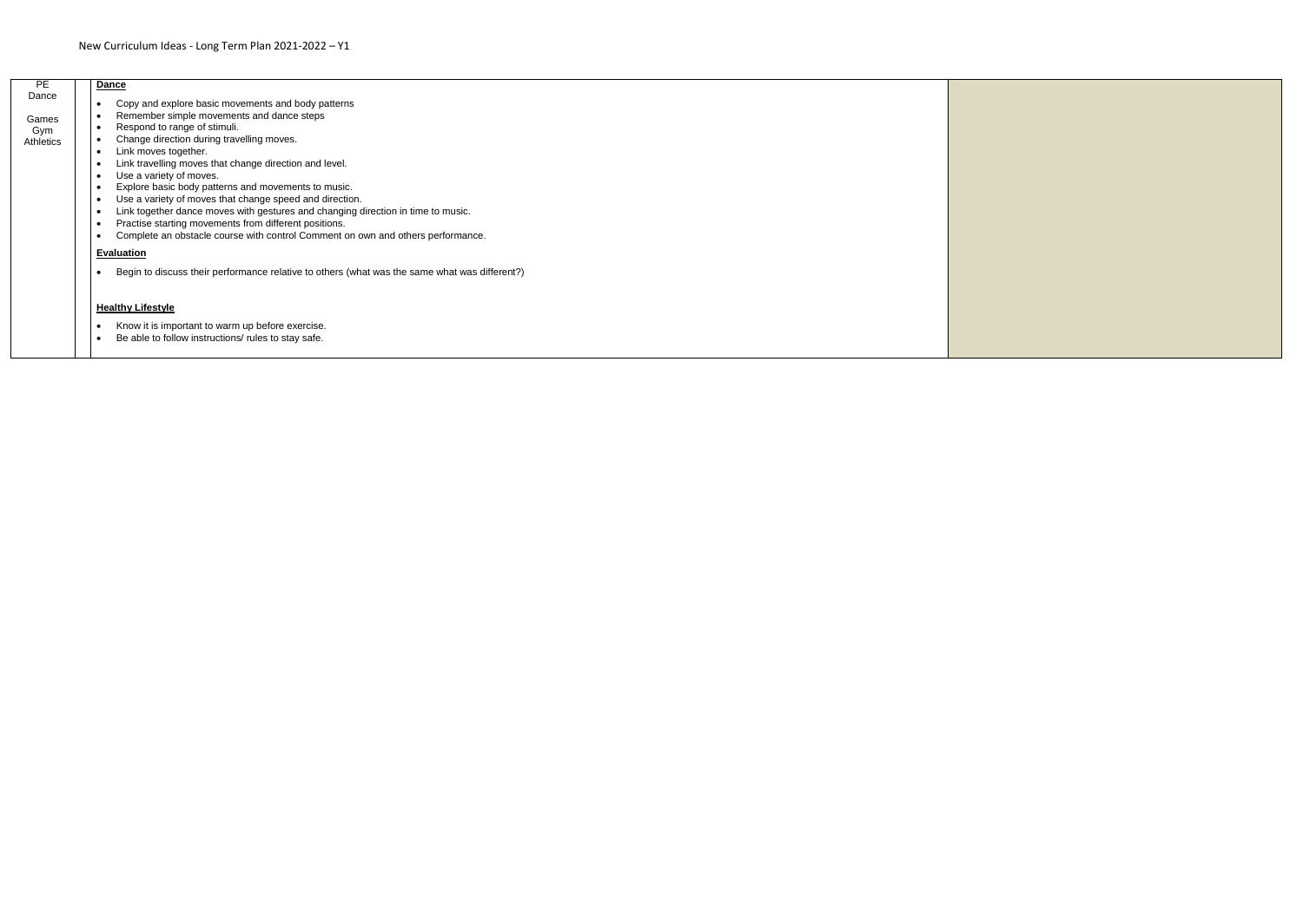| <b>PE</b>                          | <b>Dance</b>                                                                                                                                                                                                                                                                                                                                                                                                                                                                                                                                                                                                                                                                                                                                                                               |  |
|------------------------------------|--------------------------------------------------------------------------------------------------------------------------------------------------------------------------------------------------------------------------------------------------------------------------------------------------------------------------------------------------------------------------------------------------------------------------------------------------------------------------------------------------------------------------------------------------------------------------------------------------------------------------------------------------------------------------------------------------------------------------------------------------------------------------------------------|--|
| Dance<br>Games<br>Gym<br>Athletics | Copy and explore basic movements and body patterns<br>$\bullet$<br>Remember simple movements and dance steps<br>Respond to range of stimuli.<br>$\bullet$<br>Change direction during travelling moves.<br>$\bullet$<br>Link moves together.<br>$\bullet$<br>Link travelling moves that change direction and level.<br>$\bullet$<br>Use a variety of moves.<br>$\bullet$<br>Explore basic body patterns and movements to music.<br>$\bullet$<br>Use a variety of moves that change speed and direction.<br>$\bullet$<br>Link together dance moves with gestures and changing direction in time to music.<br>$\bullet$<br>Practise starting movements from different positions.<br>$\bullet$<br>Complete an obstacle course with control Comment on own and others performance.<br>$\bullet$ |  |
|                                    | <b>Evaluation</b>                                                                                                                                                                                                                                                                                                                                                                                                                                                                                                                                                                                                                                                                                                                                                                          |  |
|                                    | Begin to discuss their performance relative to others (what was the same what was different?)                                                                                                                                                                                                                                                                                                                                                                                                                                                                                                                                                                                                                                                                                              |  |
|                                    | <b>Healthy Lifestyle</b><br>Know it is important to warm up before exercise.<br>$\bullet$<br>Be able to follow instructions/ rules to stay safe.                                                                                                                                                                                                                                                                                                                                                                                                                                                                                                                                                                                                                                           |  |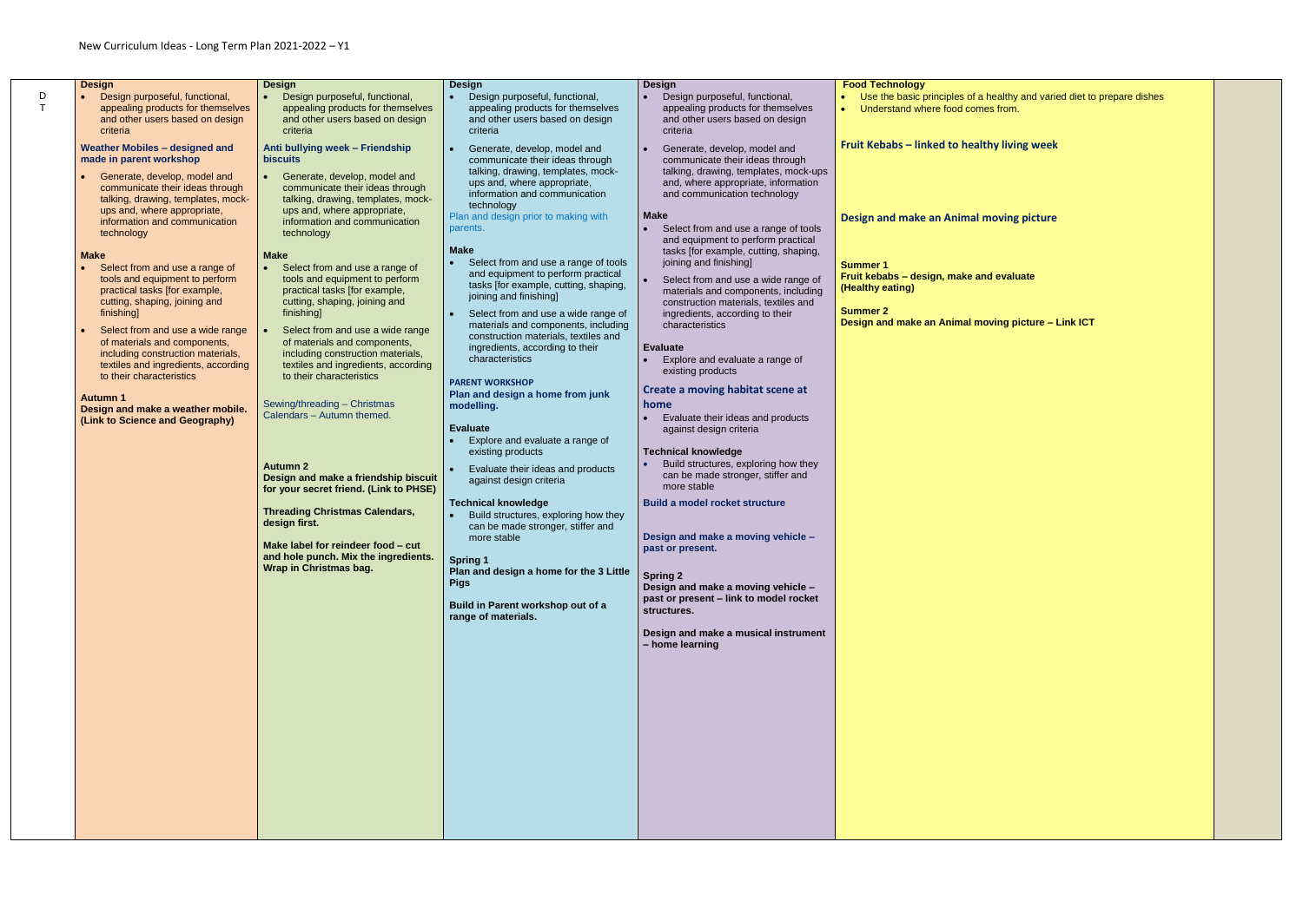D T

| <b>Design</b><br>Design purposeful, functional,<br>appealing products for themselves<br>and other users based on design<br>criteria<br><b>Weather Mobiles - designed and</b><br>made in parent workshop<br>Generate, develop, model and<br>communicate their ideas through<br>talking, drawing, templates, mock-<br>ups and, where appropriate,<br>information and communication<br>technology<br><b>Make</b><br>Select from and use a range of<br>tools and equipment to perform<br>practical tasks [for example, | <b>Design</b><br>Design purposeful, functional,<br>$\bullet$<br>appealing products for themselves<br>and other users based on design<br>criteria<br>Anti bullying week - Friendship<br><b>biscuits</b><br>Generate, develop, model and<br>communicate their ideas through<br>talking, drawing, templates, mock-<br>ups and, where appropriate,<br>information and communication<br>technology<br><b>Make</b><br>Select from and use a range of<br>tools and equipment to perform<br>practical tasks [for example,                                            | <b>Design</b><br>Design purposeful, functional,<br>appealing products for themselves<br>and other users based on design<br>criteria<br>Generate, develop, model and<br>communicate their ideas through<br>talking, drawing, templates, mock-<br>ups and, where appropriate,<br>information and communication<br>technology<br>Plan and design prior to making with<br>parents.<br>Make<br>Select from and use a range of tools<br>and equipment to perform practical<br>tasks [for example, cutting, shaping,                                                                                                                                                                                | <b>Design</b><br>Design purposeful, functional,<br>appealing products for themselves<br>and other users based on design<br>criteria<br>Generate, develop, model and<br>communicate their ideas through<br>talking, drawing, templates, mock-ups<br>and, where appropriate, information<br>and communication technology<br><b>Make</b><br>Select from and use a range of tools<br>and equipment to perform practical<br>tasks [for example, cutting, shaping,<br>joining and finishing]<br>Select from and use a wide range of<br>materials and components, including                                                                                                                        | <b>Food Technology</b><br>Use the basic principles of a healthy<br>Understand where food comes from.<br>$\bullet$<br>Fruit Kebabs - linked to healthy livin<br><b>Design and make an Animal moving</b><br><b>Summer 1</b><br>Fruit kebabs - design, make and evalu<br>(Healthy eating) |
|--------------------------------------------------------------------------------------------------------------------------------------------------------------------------------------------------------------------------------------------------------------------------------------------------------------------------------------------------------------------------------------------------------------------------------------------------------------------------------------------------------------------|--------------------------------------------------------------------------------------------------------------------------------------------------------------------------------------------------------------------------------------------------------------------------------------------------------------------------------------------------------------------------------------------------------------------------------------------------------------------------------------------------------------------------------------------------------------|----------------------------------------------------------------------------------------------------------------------------------------------------------------------------------------------------------------------------------------------------------------------------------------------------------------------------------------------------------------------------------------------------------------------------------------------------------------------------------------------------------------------------------------------------------------------------------------------------------------------------------------------------------------------------------------------|---------------------------------------------------------------------------------------------------------------------------------------------------------------------------------------------------------------------------------------------------------------------------------------------------------------------------------------------------------------------------------------------------------------------------------------------------------------------------------------------------------------------------------------------------------------------------------------------------------------------------------------------------------------------------------------------|----------------------------------------------------------------------------------------------------------------------------------------------------------------------------------------------------------------------------------------------------------------------------------------|
| cutting, shaping, joining and<br>finishing<br>Select from and use a wide range<br>of materials and components,<br>including construction materials,<br>textiles and ingredients, according<br>to their characteristics<br>Autumn 1<br>Design and make a weather mobile.<br>(Link to Science and Geography)                                                                                                                                                                                                         | cutting, shaping, joining and<br>finishing]<br>Select from and use a wide range<br>of materials and components,<br>including construction materials,<br>textiles and ingredients, according<br>to their characteristics<br>Sewing/threading - Christmas<br>Calendars - Autumn themed.<br><b>Autumn 2</b><br>Design and make a friendship biscuit<br>for your secret friend. (Link to PHSE)<br><b>Threading Christmas Calendars,</b><br>design first.<br>Make label for reindeer food - cut<br>and hole punch. Mix the ingredients.<br>Wrap in Christmas bag. | joining and finishing]<br>Select from and use a wide range of<br>materials and components, including<br>construction materials, textiles and<br>ingredients, according to their<br>characteristics<br><b>PARENT WORKSHOP</b><br>Plan and design a home from junk<br>modelling.<br><b>Evaluate</b><br>Explore and evaluate a range of<br>existing products<br>Evaluate their ideas and products<br>against design criteria<br><b>Technical knowledge</b><br>Build structures, exploring how they<br>can be made stronger, stiffer and<br>more stable<br><b>Spring 1</b><br>Plan and design a home for the 3 Little<br><b>Pigs</b><br>Build in Parent workshop out of a<br>range of materials. | construction materials, textiles and<br>ingredients, according to their<br>characteristics<br><b>Evaluate</b><br>Explore and evaluate a range of<br>existing products<br>Create a moving habitat scene at<br>home<br>Evaluate their ideas and products<br>against design criteria<br><b>Technical knowledge</b><br>Build structures, exploring how they<br>can be made stronger, stiffer and<br>more stable<br><b>Build a model rocket structure</b><br>Design and make a moving vehicle -<br>past or present.<br><b>Spring 2</b><br>Design and make a moving vehicle -<br>past or present - link to model rocket<br>structures.<br>Design and make a musical instrument<br>- home learning | <b>Summer 2</b><br>Design and make an Animal moving pi                                                                                                                                                                                                                                 |

 Use the basic principles of a healthy and varied diet to prepare dishes **hy living week Design and moving picture** *<u>evaluate</u>* **Design and make an Animal moving picture – Link ICT**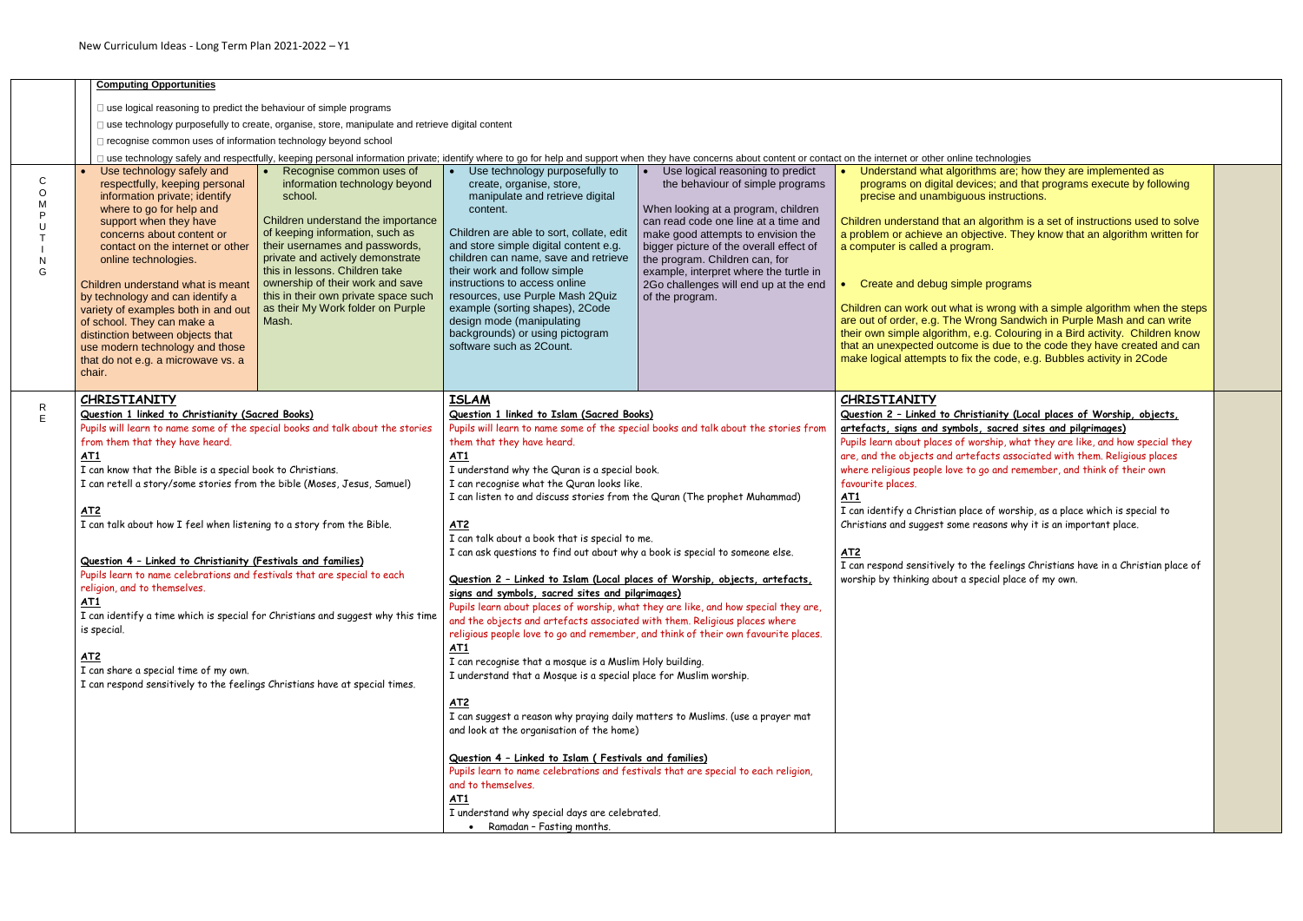|                                                                               | <b>Computing Opportunities</b>                                                                                                                                                                                                                                                                                                                                                                                                                                                                                                                                                                                                                        |                                                                                                                                                                                                                                                                                                                                                                                                                                                                                      |                                                                                                                                                                                                                                                                                                                                                                                                                                                                                                                                                                                                                                                                                                                                                                                                                                                                                                                                                                                                                                                                                                                                                                                                                                                                                                                                                                        |                                                                                                                                                                                                                                                                                                                                                                              |                                                                                                                                                                                                                                                                                                                                                                                                                                                                                                                                                                                                                                                                                                                                                                                                                                                                                                                    |
|-------------------------------------------------------------------------------|-------------------------------------------------------------------------------------------------------------------------------------------------------------------------------------------------------------------------------------------------------------------------------------------------------------------------------------------------------------------------------------------------------------------------------------------------------------------------------------------------------------------------------------------------------------------------------------------------------------------------------------------------------|--------------------------------------------------------------------------------------------------------------------------------------------------------------------------------------------------------------------------------------------------------------------------------------------------------------------------------------------------------------------------------------------------------------------------------------------------------------------------------------|------------------------------------------------------------------------------------------------------------------------------------------------------------------------------------------------------------------------------------------------------------------------------------------------------------------------------------------------------------------------------------------------------------------------------------------------------------------------------------------------------------------------------------------------------------------------------------------------------------------------------------------------------------------------------------------------------------------------------------------------------------------------------------------------------------------------------------------------------------------------------------------------------------------------------------------------------------------------------------------------------------------------------------------------------------------------------------------------------------------------------------------------------------------------------------------------------------------------------------------------------------------------------------------------------------------------------------------------------------------------|------------------------------------------------------------------------------------------------------------------------------------------------------------------------------------------------------------------------------------------------------------------------------------------------------------------------------------------------------------------------------|--------------------------------------------------------------------------------------------------------------------------------------------------------------------------------------------------------------------------------------------------------------------------------------------------------------------------------------------------------------------------------------------------------------------------------------------------------------------------------------------------------------------------------------------------------------------------------------------------------------------------------------------------------------------------------------------------------------------------------------------------------------------------------------------------------------------------------------------------------------------------------------------------------------------|
| $\bullet$<br>$\mathsf{C}$<br>$\circ$<br>M<br>P<br>$\mathsf{N}$<br>G<br>chair. | $\Box$ use logical reasoning to predict the behaviour of simple programs<br>□ recognise common uses of information technology beyond school<br>Use technology safely and<br>respectfully, keeping personal<br>information private; identify<br>where to go for help and<br>support when they have<br>concerns about content or<br>contact on the internet or other<br>online technologies.<br>Children understand what is meant<br>by technology and can identify a<br>variety of examples both in and out<br>of school. They can make a<br>distinction between objects that<br>use modern technology and those<br>that do not e.g. a microwave vs. a | □ use technology purposefully to create, organise, store, manipulate and retrieve digital content<br>Recognise common uses of<br>information technology beyond<br>school.<br>Children understand the importance<br>of keeping information, such as<br>their usernames and passwords,<br>private and actively demonstrate<br>this in lessons. Children take<br>ownership of their work and save<br>this in their own private space such<br>as their My Work folder on Purple<br>Mash. | Use technology purposefully to<br>create, organise, store,<br>manipulate and retrieve digital<br>content.<br>Children are able to sort, collate, edit<br>and store simple digital content e.g.<br>children can name, save and retrieve<br>their work and follow simple<br>instructions to access online<br>resources, use Purple Mash 2Quiz<br>example (sorting shapes), 2Code<br>design mode (manipulating<br>backgrounds) or using pictogram<br>software such as 2Count.                                                                                                                                                                                                                                                                                                                                                                                                                                                                                                                                                                                                                                                                                                                                                                                                                                                                                             | Use logical reasoning to predict<br>the behaviour of simple programs<br>When looking at a program, children<br>can read code one line at a time and<br>make good attempts to envision the<br>bigger picture of the overall effect of<br>the program. Children can, for<br>example, interpret where the turtle in<br>2Go challenges will end up at the end<br>of the program. | I use technology safely and respectfully, keeping personal information private; identify where to go for help and support when they have concerns about content or contact on the internet or other online technologies<br>Understand what algorithms are; how they are implement<br>programs on digital devices; and that programs execut<br>precise and unambiguous instructions.<br>Children understand that an algorithm is a set of instructior<br>a problem or achieve an objective. They know that an algo<br>a computer is called a program.<br>Create and debug simple programs<br>Children can work out what is wrong with a simple algorithr<br>are out of order, e.g. The Wrong Sandwich in Purple Mash<br>their own simple algorithm, e.g. Colouring in a Bird activity.<br>that an unexpected outcome is due to the code they have o<br>make logical attempts to fix the code, e.g. Bubbles activity |
| $\mathsf{R}$<br>$\mathsf E$<br>AT1<br>AT2<br>AT1<br>is special.<br><u>AT2</u> | <b>CHRISTIANITY</b><br>Question 1 linked to Christianity (Sacred Books)<br>from them that they have heard.<br>I can know that the Bible is a special book to Christians.<br>I can talk about how I feel when listening to a story from the Bible.<br>Question 4 - Linked to Christianity (Festivals and families)<br>religion, and to themselves.<br>I can share a special time of my own.                                                                                                                                                                                                                                                            | Pupils will learn to name some of the special books and talk about the stories<br>I can retell a story/some stories from the bible (Moses, Jesus, Samuel)<br>Pupils learn to name celebrations and festivals that are special to each<br>I can identify a time which is special for Christians and suggest why this time<br>I can respond sensitively to the feelings Christians have at special times.                                                                              | <b>ISLAM</b><br>Question 1 linked to Islam (Sacred Books)<br>them that they have heard.<br>AT1<br>I understand why the Quran is a special book.<br>I can recognise what the Quran looks like.<br>I can listen to and discuss stories from the Quran (The prophet Muhammad)<br>AT2<br>I can talk about a book that is special to me.<br>I can ask questions to find out about why a book is special to someone else.<br>Question 2 - Linked to Islam (Local places of Worship, objects, artefacts,<br>signs and symbols, sacred sites and pilgrimages)<br>Pupils learn about places of worship, what they are like, and how special they are,<br>and the objects and artefacts associated with them. Religious places where<br>religious people love to go and remember, and think of their own favourite places.<br><u>AT1</u><br>I can recognise that a mosque is a Muslim Holy building.<br>I understand that a Mosque is a special place for Muslim worship.<br><u>AT2</u><br>I can suggest a reason why praying daily matters to Muslims. (use a prayer mat<br>and look at the organisation of the home)<br>Question 4 - Linked to Islam (Festivals and families)<br>Pupils learn to name celebrations and festivals that are special to each religion,<br>and to themselves.<br>AT1<br>I understand why special days are celebrated.<br>Ramadan - Fasting months. | Pupils will learn to name some of the special books and talk about the stories from                                                                                                                                                                                                                                                                                          | <b>CHRISTIANITY</b><br>Question 2 - Linked to Christianity (Local places of Worshi<br>artefacts, signs and symbols, sacred sites and pilgrimages)<br>Pupils learn about places of worship, what they are like, and ho<br>are, and the objects and artefacts associated with them. Relig<br>where religious people love to go and remember, and think of t<br>favourite places.<br>AT1<br>I can identify a Christian place of worship, as a place which is<br>Christians and suggest some reasons why it is an important plo<br><b>AT2</b><br>I can respond sensitively to the feelings Christians have in a C<br>worship by thinking about a special place of my own.                                                                                                                                                                                                                                              |

| on the internet or other online technologies                                                                                                                                                                                                                                                                                                                                                               |  |
|------------------------------------------------------------------------------------------------------------------------------------------------------------------------------------------------------------------------------------------------------------------------------------------------------------------------------------------------------------------------------------------------------------|--|
| Understand what algorithms are; how they are implemented as<br>programs on digital devices; and that programs execute by following<br>precise and unambiguous instructions.                                                                                                                                                                                                                                |  |
| Children understand that an algorithm is a set of instructions used to solve<br>a problem or achieve an objective. They know that an algorithm written for<br>a computer is called a program.                                                                                                                                                                                                              |  |
| Create and debug simple programs<br>$\bullet$                                                                                                                                                                                                                                                                                                                                                              |  |
| Children can work out what is wrong with a simple algorithm when the steps<br>are out of order, e.g. The Wrong Sandwich in Purple Mash and can write<br>their own simple algorithm, e.g. Colouring in a Bird activity. Children know<br>that an unexpected outcome is due to the code they have created and can<br>make logical attempts to fix the code, e.g. Bubbles activity in 2Code                   |  |
| CHRISTIANITY                                                                                                                                                                                                                                                                                                                                                                                               |  |
| Question 2 - Linked to Christianity (Local places of Worship, objects,<br>artefacts, signs and symbols, sacred sites and pilgrimages)<br>Pupils learn about places of worship, what they are like, and how special they<br>are, and the objects and artefacts associated with them. Religious places<br>where religious people love to go and remember, and think of their own<br>favourite places.<br>AT1 |  |
| I can identify a Christian place of worship, as a place which is special to<br>Christians and suggest some reasons why it is an important place.                                                                                                                                                                                                                                                           |  |
| AT2<br>I can respond sensitively to the feelings Christians have in a Christian place of<br>worship by thinking about a special place of my own.                                                                                                                                                                                                                                                           |  |
|                                                                                                                                                                                                                                                                                                                                                                                                            |  |
|                                                                                                                                                                                                                                                                                                                                                                                                            |  |
|                                                                                                                                                                                                                                                                                                                                                                                                            |  |
|                                                                                                                                                                                                                                                                                                                                                                                                            |  |
|                                                                                                                                                                                                                                                                                                                                                                                                            |  |
|                                                                                                                                                                                                                                                                                                                                                                                                            |  |
|                                                                                                                                                                                                                                                                                                                                                                                                            |  |